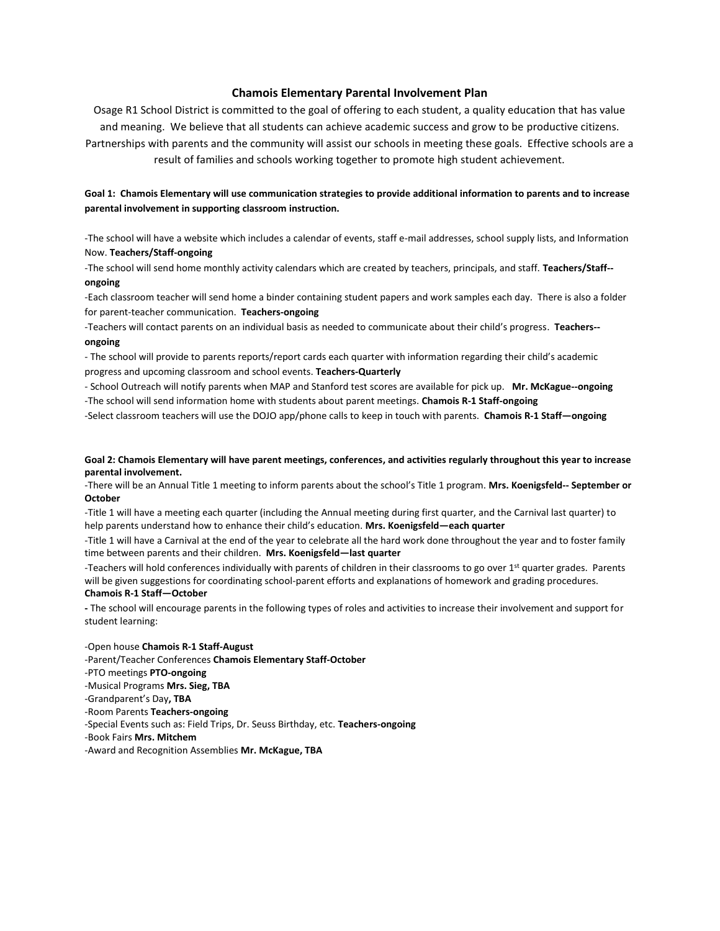## **Chamois Elementary Parental Involvement Plan**

Osage R1 School District is committed to the goal of offering to each student, a quality education that has value and meaning. We believe that all students can achieve academic success and grow to be productive citizens. Partnerships with parents and the community will assist our schools in meeting these goals. Effective schools are a result of families and schools working together to promote high student achievement.

# **Goal 1: Chamois Elementary will use communication strategies to provide additional information to parents and to increase parental involvement in supporting classroom instruction.**

-The school will have a website which includes a calendar of events, staff e-mail addresses, school supply lists, and Information Now. **Teachers/Staff-ongoing**

-The school will send home monthly activity calendars which are created by teachers, principals, and staff. **Teachers/Staff- ongoing**

-Each classroom teacher will send home a binder containing student papers and work samples each day. There is also a folder for parent-teacher communication. **Teachers-ongoing**

-Teachers will contact parents on an individual basis as needed to communicate about their child's progress. **Teachers- ongoing**

- The school will provide to parents reports/report cards each quarter with information regarding their child's academic progress and upcoming classroom and school events. **Teachers-Quarterly**

- School Outreach will notify parents when MAP and Stanford test scores are available for pick up. **Mr. McKague--ongoing**  -The school will send information home with students about parent meetings. **Chamois R-1 Staff-ongoing** 

-Select classroom teachers will use the DOJO app/phone calls to keep in touch with parents. **Chamois R-1 Staff—ongoing**

## **Goal 2: Chamois Elementary will have parent meetings, conferences, and activities regularly throughout this year to increase parental involvement.**

-There will be an Annual Title 1 meeting to inform parents about the school's Title 1 program. **Mrs. Koenigsfeld-- September or October**

-Title 1 will have a meeting each quarter (including the Annual meeting during first quarter, and the Carnival last quarter) to help parents understand how to enhance their child's education. **Mrs. Koenigsfeld—each quarter**

-Title 1 will have a Carnival at the end of the year to celebrate all the hard work done throughout the year and to foster family time between parents and their children. **Mrs. Koenigsfeld—last quarter** 

-Teachers will hold conferences individually with parents of children in their classrooms to go over 1<sup>st</sup> quarter grades. Parents will be given suggestions for coordinating school-parent efforts and explanations of homework and grading procedures. **Chamois R-1 Staff—October**

**-** The school will encourage parents in the following types of roles and activities to increase their involvement and support for student learning:

-Open house **Chamois R-1 Staff-August** 

-Parent/Teacher Conferences **Chamois Elementary Staff-October** 

-PTO meetings **PTO-ongoing** 

-Musical Programs **Mrs. Sieg, TBA** 

-Grandparent's Day**, TBA**

-Room Parents **Teachers-ongoing** 

-Special Events such as: Field Trips, Dr. Seuss Birthday, etc. **Teachers-ongoing** 

-Book Fairs **Mrs. Mitchem**

-Award and Recognition Assemblies **Mr. McKague, TBA**